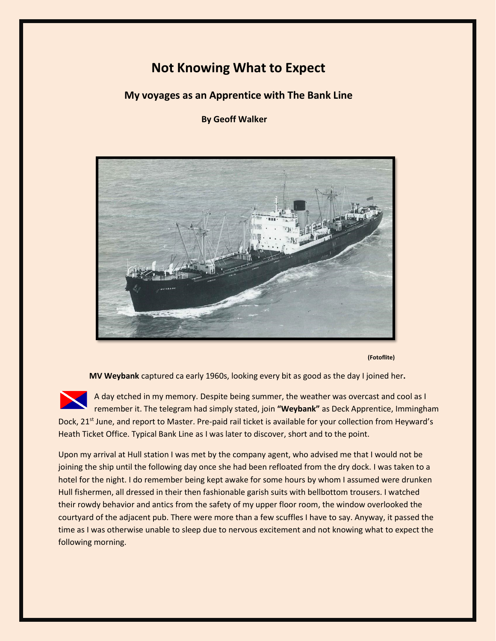## **Not Knowing What to Expect**

 **My voyages as an Apprentice with The Bank Line**

 **By Geoff Walker**



**(Fotoflite)**

**MV Weybank** captured ca early 1960s, looking every bit as good as the day I joined her**.**

A day etched in my memory. Despite being summer, the weather was overcast and cool as I remember it. The telegram had simply stated, join **"Weybank"** as Deck Apprentice, Immingham Dock, 21<sup>st</sup> June, and report to Master. Pre-paid rail ticket is available for your collection from Heyward's Heath Ticket Office. Typical Bank Line as I was later to discover, short and to the point.

Upon my arrival at Hull station I was met by the company agent, who advised me that I would not be joining the ship until the following day once she had been refloated from the dry dock. I was taken to a hotel for the night. I do remember being kept awake for some hours by whom I assumed were drunken Hull fishermen, all dressed in their then fashionable garish suits with bellbottom trousers. I watched their rowdy behavior and antics from the safety of my upper floor room, the window overlooked the courtyard of the adjacent pub. There were more than a few scuffles I have to say. Anyway, it passed the time as I was otherwise unable to sleep due to nervous excitement and not knowing what to expect the following morning.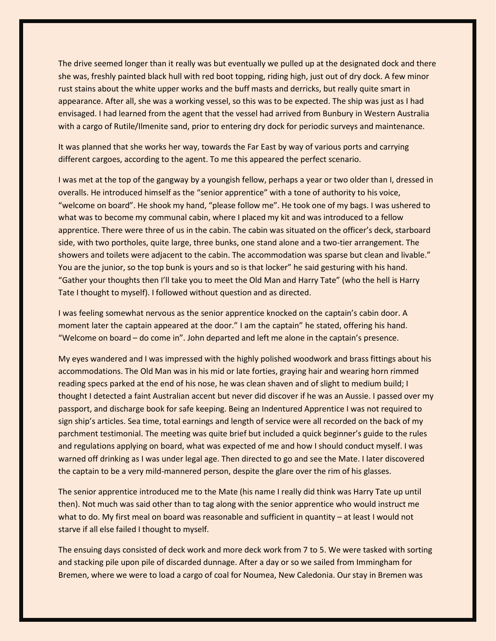The drive seemed longer than it really was but eventually we pulled up at the designated dock and there she was, freshly painted black hull with red boot topping, riding high, just out of dry dock. A few minor rust stains about the white upper works and the buff masts and derricks, but really quite smart in appearance. After all, she was a working vessel, so this was to be expected. The ship was just as I had envisaged. I had learned from the agent that the vessel had arrived from Bunbury in Western Australia with a cargo of Rutile/Ilmenite sand, prior to entering dry dock for periodic surveys and maintenance.

It was planned that she works her way, towards the Far East by way of various ports and carrying different cargoes, according to the agent. To me this appeared the perfect scenario.

I was met at the top of the gangway by a youngish fellow, perhaps a year or two older than I, dressed in overalls. He introduced himself as the "senior apprentice" with a tone of authority to his voice, "welcome on board". He shook my hand, "please follow me". He took one of my bags. I was ushered to what was to become my communal cabin, where I placed my kit and was introduced to a fellow apprentice. There were three of us in the cabin. The cabin was situated on the officer's deck, starboard side, with two portholes, quite large, three bunks, one stand alone and a two-tier arrangement. The showers and toilets were adjacent to the cabin. The accommodation was sparse but clean and livable." You are the junior, so the top bunk is yours and so is that locker" he said gesturing with his hand. "Gather your thoughts then I'll take you to meet the Old Man and Harry Tate" (who the hell is Harry Tate I thought to myself). I followed without question and as directed.

I was feeling somewhat nervous as the senior apprentice knocked on the captain's cabin door. A moment later the captain appeared at the door." I am the captain" he stated, offering his hand. "Welcome on board – do come in". John departed and left me alone in the captain's presence.

My eyes wandered and I was impressed with the highly polished woodwork and brass fittings about his accommodations. The Old Man was in his mid or late forties, graying hair and wearing horn rimmed reading specs parked at the end of his nose, he was clean shaven and of slight to medium build; I thought I detected a faint Australian accent but never did discover if he was an Aussie. I passed over my passport, and discharge book for safe keeping. Being an Indentured Apprentice I was not required to sign ship's articles. Sea time, total earnings and length of service were all recorded on the back of my parchment testimonial. The meeting was quite brief but included a quick beginner's guide to the rules and regulations applying on board, what was expected of me and how I should conduct myself. I was warned off drinking as I was under legal age. Then directed to go and see the Mate. I later discovered the captain to be a very mild-mannered person, despite the glare over the rim of his glasses.

The senior apprentice introduced me to the Mate (his name I really did think was Harry Tate up until then). Not much was said other than to tag along with the senior apprentice who would instruct me what to do. My first meal on board was reasonable and sufficient in quantity – at least I would not starve if all else failed I thought to myself.

The ensuing days consisted of deck work and more deck work from 7 to 5. We were tasked with sorting and stacking pile upon pile of discarded dunnage. After a day or so we sailed from Immingham for Bremen, where we were to load a cargo of coal for Noumea, New Caledonia. Our stay in Bremen was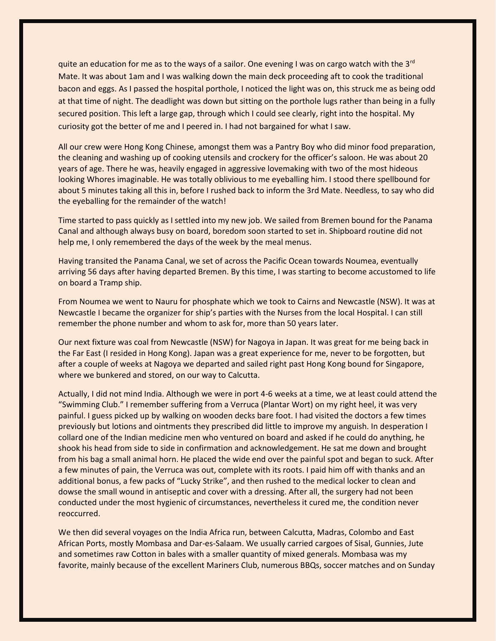quite an education for me as to the ways of a sailor. One evening I was on cargo watch with the  $3^{rd}$ Mate. It was about 1am and I was walking down the main deck proceeding aft to cook the traditional bacon and eggs. As I passed the hospital porthole, I noticed the light was on, this struck me as being odd at that time of night. The deadlight was down but sitting on the porthole lugs rather than being in a fully secured position. This left a large gap, through which I could see clearly, right into the hospital. My curiosity got the better of me and I peered in. I had not bargained for what I saw.

All our crew were Hong Kong Chinese, amongst them was a Pantry Boy who did minor food preparation, the cleaning and washing up of cooking utensils and crockery for the officer's saloon. He was about 20 years of age. There he was, heavily engaged in aggressive lovemaking with two of the most hideous looking Whores imaginable. He was totally oblivious to me eyeballing him. I stood there spellbound for about 5 minutes taking all this in, before I rushed back to inform the 3rd Mate. Needless, to say who did the eyeballing for the remainder of the watch!

Time started to pass quickly as I settled into my new job. We sailed from Bremen bound for the Panama Canal and although always busy on board, boredom soon started to set in. Shipboard routine did not help me, I only remembered the days of the week by the meal menus.

Having transited the Panama Canal, we set of across the Pacific Ocean towards Noumea, eventually arriving 56 days after having departed Bremen. By this time, I was starting to become accustomed to life on board a Tramp ship.

From Noumea we went to Nauru for phosphate which we took to Cairns and Newcastle (NSW). It was at Newcastle I became the organizer for ship's parties with the Nurses from the local Hospital. I can still remember the phone number and whom to ask for, more than 50 years later.

Our next fixture was coal from Newcastle (NSW) for Nagoya in Japan. It was great for me being back in the Far East (I resided in Hong Kong). Japan was a great experience for me, never to be forgotten, but after a couple of weeks at Nagoya we departed and sailed right past Hong Kong bound for Singapore, where we bunkered and stored, on our way to Calcutta.

Actually, I did not mind India. Although we were in port 4-6 weeks at a time, we at least could attend the "Swimming Club." I remember suffering from a Verruca (Plantar Wort) on my right heel, it was very painful. I guess picked up by walking on wooden decks bare foot. I had visited the doctors a few times previously but lotions and ointments they prescribed did little to improve my anguish. In desperation I collard one of the Indian medicine men who ventured on board and asked if he could do anything, he shook his head from side to side in confirmation and acknowledgement. He sat me down and brought from his bag a small animal horn. He placed the wide end over the painful spot and began to suck. After a few minutes of pain, the Verruca was out, complete with its roots. I paid him off with thanks and an additional bonus, a few packs of "Lucky Strike", and then rushed to the medical locker to clean and dowse the small wound in antiseptic and cover with a dressing. After all, the surgery had not been conducted under the most hygienic of circumstances, nevertheless it cured me, the condition never reoccurred.

We then did several voyages on the India Africa run, between Calcutta, Madras, Colombo and East African Ports, mostly Mombasa and Dar-es-Salaam. We usually carried cargoes of Sisal, Gunnies, Jute and sometimes raw Cotton in bales with a smaller quantity of mixed generals. Mombasa was my favorite, mainly because of the excellent Mariners Club, numerous BBQs, soccer matches and on Sunday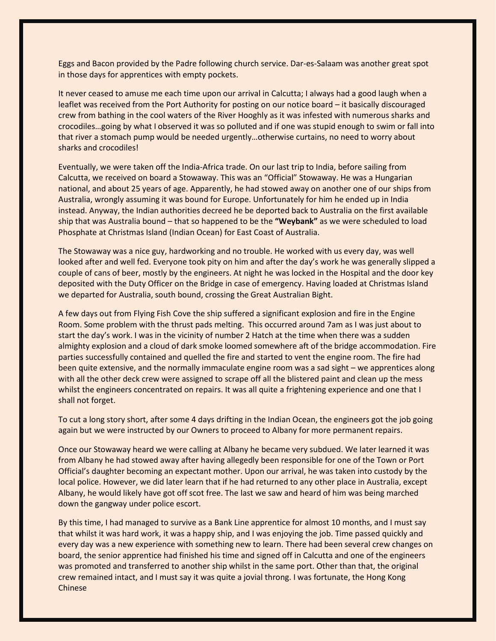Eggs and Bacon provided by the Padre following church service. Dar-es-Salaam was another great spot in those days for apprentices with empty pockets.

It never ceased to amuse me each time upon our arrival in Calcutta; I always had a good laugh when a leaflet was received from the Port Authority for posting on our notice board – it basically discouraged crew from bathing in the cool waters of the River Hooghly as it was infested with numerous sharks and crocodiles…going by what I observed it was so polluted and if one was stupid enough to swim or fall into that river a stomach pump would be needed urgently…otherwise curtains, no need to worry about sharks and crocodiles!

Eventually, we were taken off the India-Africa trade. On our last trip to India, before sailing from Calcutta, we received on board a Stowaway. This was an "Official" Stowaway. He was a Hungarian national, and about 25 years of age. Apparently, he had stowed away on another one of our ships from Australia, wrongly assuming it was bound for Europe. Unfortunately for him he ended up in India instead. Anyway, the Indian authorities decreed he be deported back to Australia on the first available ship that was Australia bound – that so happened to be the **"Weybank"** as we were scheduled to load Phosphate at Christmas Island (Indian Ocean) for East Coast of Australia.

The Stowaway was a nice guy, hardworking and no trouble. He worked with us every day, was well looked after and well fed. Everyone took pity on him and after the day's work he was generally slipped a couple of cans of beer, mostly by the engineers. At night he was locked in the Hospital and the door key deposited with the Duty Officer on the Bridge in case of emergency. Having loaded at Christmas Island we departed for Australia, south bound, crossing the Great Australian Bight.

A few days out from Flying Fish Cove the ship suffered a significant explosion and fire in the Engine Room. Some problem with the thrust pads melting. This occurred around 7am as I was just about to start the day's work. I was in the vicinity of number 2 Hatch at the time when there was a sudden almighty explosion and a cloud of dark smoke loomed somewhere aft of the bridge accommodation. Fire parties successfully contained and quelled the fire and started to vent the engine room. The fire had been quite extensive, and the normally immaculate engine room was a sad sight – we apprentices along with all the other deck crew were assigned to scrape off all the blistered paint and clean up the mess whilst the engineers concentrated on repairs. It was all quite a frightening experience and one that I shall not forget.

To cut a long story short, after some 4 days drifting in the Indian Ocean, the engineers got the job going again but we were instructed by our Owners to proceed to Albany for more permanent repairs.

Once our Stowaway heard we were calling at Albany he became very subdued. We later learned it was from Albany he had stowed away after having allegedly been responsible for one of the Town or Port Official's daughter becoming an expectant mother. Upon our arrival, he was taken into custody by the local police. However, we did later learn that if he had returned to any other place in Australia, except Albany, he would likely have got off scot free. The last we saw and heard of him was being marched down the gangway under police escort.

By this time, I had managed to survive as a Bank Line apprentice for almost 10 months, and I must say that whilst it was hard work, it was a happy ship, and I was enjoying the job. Time passed quickly and every day was a new experience with something new to learn. There had been several crew changes on board, the senior apprentice had finished his time and signed off in Calcutta and one of the engineers was promoted and transferred to another ship whilst in the same port. Other than that, the original crew remained intact, and I must say it was quite a jovial throng. I was fortunate, the Hong Kong Chinese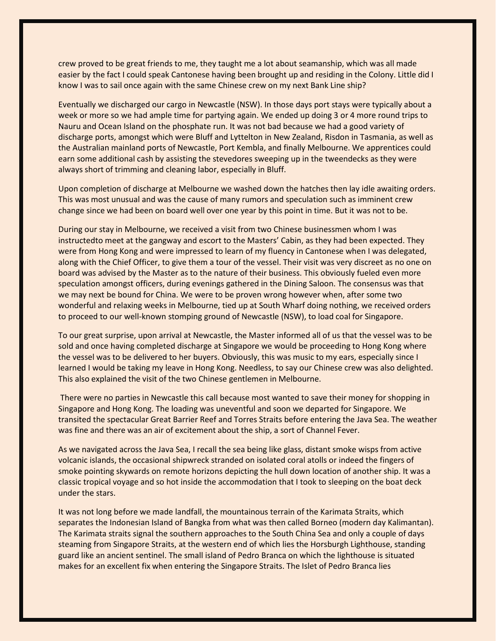crew proved to be great friends to me, they taught me a lot about seamanship, which was all made easier by the fact I could speak Cantonese having been brought up and residing in the Colony. Little did I know I was to sail once again with the same Chinese crew on my next Bank Line ship?

Eventually we discharged our cargo in Newcastle (NSW). In those days port stays were typically about a week or more so we had ample time for partying again. We ended up doing 3 or 4 more round trips to Nauru and Ocean Island on the phosphate run. It was not bad because we had a good variety of discharge ports, amongst which were Bluff and Lyttelton in New Zealand, Risdon in Tasmania, as well as the Australian mainland ports of Newcastle, Port Kembla, and finally Melbourne. We apprentices could earn some additional cash by assisting the stevedores sweeping up in the tweendecks as they were always short of trimming and cleaning labor, especially in Bluff.

Upon completion of discharge at Melbourne we washed down the hatches then lay idle awaiting orders. This was most unusual and was the cause of many rumors and speculation such as imminent crew change since we had been on board well over one year by this point in time. But it was not to be.

During our stay in Melbourne, we received a visit from two Chinese businessmen whom I was instructedto meet at the gangway and escort to the Masters' Cabin, as they had been expected. They were from Hong Kong and were impressed to learn of my fluency in Cantonese when I was delegated, along with the Chief Officer, to give them a tour of the vessel. Their visit was very discreet as no one on board was advised by the Master as to the nature of their business. This obviously fueled even more speculation amongst officers, during evenings gathered in the Dining Saloon. The consensus was that we may next be bound for China. We were to be proven wrong however when, after some two wonderful and relaxing weeks in Melbourne, tied up at South Wharf doing nothing, we received orders to proceed to our well-known stomping ground of Newcastle (NSW), to load coal for Singapore.

To our great surprise, upon arrival at Newcastle, the Master informed all of us that the vessel was to be sold and once having completed discharge at Singapore we would be proceeding to Hong Kong where the vessel was to be delivered to her buyers. Obviously, this was music to my ears, especially since I learned I would be taking my leave in Hong Kong. Needless, to say our Chinese crew was also delighted. This also explained the visit of the two Chinese gentlemen in Melbourne.

There were no parties in Newcastle this call because most wanted to save their money for shopping in Singapore and Hong Kong. The loading was uneventful and soon we departed for Singapore. We transited the spectacular Great Barrier Reef and Torres Straits before entering the Java Sea. The weather was fine and there was an air of excitement about the ship, a sort of Channel Fever.

As we navigated across the Java Sea, I recall the sea being like glass, distant smoke wisps from active volcanic islands, the occasional shipwreck stranded on isolated coral atolls or indeed the fingers of smoke pointing skywards on remote horizons depicting the hull down location of another ship. It was a classic tropical voyage and so hot inside the accommodation that I took to sleeping on the boat deck under the stars.

It was not long before we made landfall, the mountainous terrain of the Karimata Straits, which separates the Indonesian Island of Bangka from what was then called Borneo (modern day Kalimantan). The Karimata straits signal the southern approaches to the South China Sea and only a couple of days steaming from Singapore Straits, at the western end of which lies the Horsburgh Lighthouse, standing guard like an ancient sentinel. The small island of Pedro Branca on which the lighthouse is situated makes for an excellent fix when entering the Singapore Straits. The Islet of Pedro Branca lies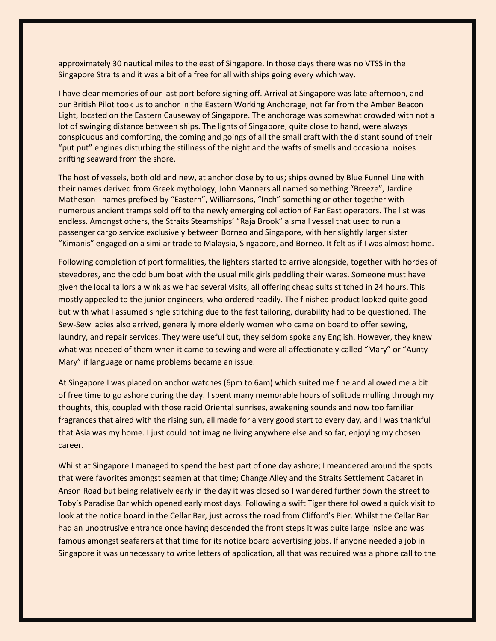approximately 30 nautical miles to the east of Singapore. In those days there was no VTSS in the Singapore Straits and it was a bit of a free for all with ships going every which way.

I have clear memories of our last port before signing off. Arrival at Singapore was late afternoon, and our British Pilot took us to anchor in the Eastern Working Anchorage, not far from the Amber Beacon Light, located on the Eastern Causeway of Singapore. The anchorage was somewhat crowded with not a lot of swinging distance between ships. The lights of Singapore, quite close to hand, were always conspicuous and comforting, the coming and goings of all the small craft with the distant sound of their "put put" engines disturbing the stillness of the night and the wafts of smells and occasional noises drifting seaward from the shore.

The host of vessels, both old and new, at anchor close by to us; ships owned by Blue Funnel Line with their names derived from Greek mythology, John Manners all named something "Breeze", Jardine Matheson - names prefixed by "Eastern", Williamsons, "Inch" something or other together with numerous ancient tramps sold off to the newly emerging collection of Far East operators. The list was endless. Amongst others, the Straits Steamships' "Raja Brook" a small vessel that used to run a passenger cargo service exclusively between Borneo and Singapore, with her slightly larger sister "Kimanis" engaged on a similar trade to Malaysia, Singapore, and Borneo. It felt as if I was almost home.

Following completion of port formalities, the lighters started to arrive alongside, together with hordes of stevedores, and the odd bum boat with the usual milk girls peddling their wares. Someone must have given the local tailors a wink as we had several visits, all offering cheap suits stitched in 24 hours. This mostly appealed to the junior engineers, who ordered readily. The finished product looked quite good but with what I assumed single stitching due to the fast tailoring, durability had to be questioned. The Sew-Sew ladies also arrived, generally more elderly women who came on board to offer sewing, laundry, and repair services. They were useful but, they seldom spoke any English. However, they knew what was needed of them when it came to sewing and were all affectionately called "Mary" or "Aunty Mary" if language or name problems became an issue.

At Singapore I was placed on anchor watches (6pm to 6am) which suited me fine and allowed me a bit of free time to go ashore during the day. I spent many memorable hours of solitude mulling through my thoughts, this, coupled with those rapid Oriental sunrises, awakening sounds and now too familiar fragrances that aired with the rising sun, all made for a very good start to every day, and I was thankful that Asia was my home. I just could not imagine living anywhere else and so far, enjoying my chosen career.

Whilst at Singapore I managed to spend the best part of one day ashore; I meandered around the spots that were favorites amongst seamen at that time; Change Alley and the Straits Settlement Cabaret in Anson Road but being relatively early in the day it was closed so I wandered further down the street to Toby's Paradise Bar which opened early most days. Following a swift Tiger there followed a quick visit to look at the notice board in the Cellar Bar, just across the road from Clifford's Pier. Whilst the Cellar Bar had an unobtrusive entrance once having descended the front steps it was quite large inside and was famous amongst seafarers at that time for its notice board advertising jobs. If anyone needed a job in Singapore it was unnecessary to write letters of application, all that was required was a phone call to the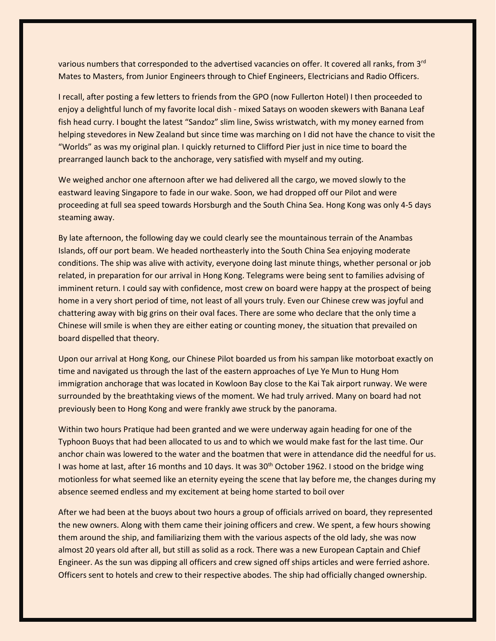various numbers that corresponded to the advertised vacancies on offer. It covered all ranks, from 3rd Mates to Masters, from Junior Engineers through to Chief Engineers, Electricians and Radio Officers.

I recall, after posting a few letters to friends from the GPO (now Fullerton Hotel) I then proceeded to enjoy a delightful lunch of my favorite local dish - mixed Satays on wooden skewers with Banana Leaf fish head curry. I bought the latest "Sandoz" slim line, Swiss wristwatch, with my money earned from helping stevedores in New Zealand but since time was marching on I did not have the chance to visit the "Worlds" as was my original plan. I quickly returned to Clifford Pier just in nice time to board the prearranged launch back to the anchorage, very satisfied with myself and my outing.

We weighed anchor one afternoon after we had delivered all the cargo, we moved slowly to the eastward leaving Singapore to fade in our wake. Soon, we had dropped off our Pilot and were proceeding at full sea speed towards Horsburgh and the South China Sea. Hong Kong was only 4-5 days steaming away.

By late afternoon, the following day we could clearly see the mountainous terrain of the Anambas Islands, off our port beam. We headed northeasterly into the South China Sea enjoying moderate conditions. The ship was alive with activity, everyone doing last minute things, whether personal or job related, in preparation for our arrival in Hong Kong. Telegrams were being sent to families advising of imminent return. I could say with confidence, most crew on board were happy at the prospect of being home in a very short period of time, not least of all yours truly. Even our Chinese crew was joyful and chattering away with big grins on their oval faces. There are some who declare that the only time a Chinese will smile is when they are either eating or counting money, the situation that prevailed on board dispelled that theory.

Upon our arrival at Hong Kong, our Chinese Pilot boarded us from his sampan like motorboat exactly on time and navigated us through the last of the eastern approaches of Lye Ye Mun to Hung Hom immigration anchorage that was located in Kowloon Bay close to the Kai Tak airport runway. We were surrounded by the breathtaking views of the moment. We had truly arrived. Many on board had not previously been to Hong Kong and were frankly awe struck by the panorama.

Within two hours Pratique had been granted and we were underway again heading for one of the Typhoon Buoys that had been allocated to us and to which we would make fast for the last time. Our anchor chain was lowered to the water and the boatmen that were in attendance did the needful for us. I was home at last, after 16 months and 10 days. It was 30<sup>th</sup> October 1962. I stood on the bridge wing motionless for what seemed like an eternity eyeing the scene that lay before me, the changes during my absence seemed endless and my excitement at being home started to boil over

After we had been at the buoys about two hours a group of officials arrived on board, they represented the new owners. Along with them came their joining officers and crew. We spent, a few hours showing them around the ship, and familiarizing them with the various aspects of the old lady, she was now almost 20 years old after all, but still as solid as a rock. There was a new European Captain and Chief Engineer. As the sun was dipping all officers and crew signed off ships articles and were ferried ashore. Officers sent to hotels and crew to their respective abodes. The ship had officially changed ownership.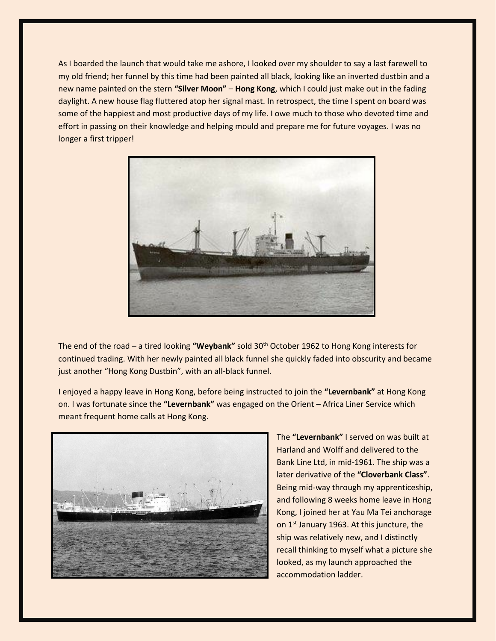As I boarded the launch that would take me ashore, I looked over my shoulder to say a last farewell to my old friend; her funnel by this time had been painted all black, looking like an inverted dustbin and a new name painted on the stern **"Silver Moon"** – **Hong Kong**, which I could just make out in the fading daylight. A new house flag fluttered atop her signal mast. In retrospect, the time I spent on board was some of the happiest and most productive days of my life. I owe much to those who devoted time and effort in passing on their knowledge and helping mould and prepare me for future voyages. I was no longer a first tripper!



The end of the road – a tired looking **"Weybank"** sold 30th October 1962 to Hong Kong interests for continued trading. With her newly painted all black funnel she quickly faded into obscurity and became just another "Hong Kong Dustbin", with an all-black funnel.

I enjoyed a happy leave in Hong Kong, before being instructed to join the **"Levernbank"** at Hong Kong on. I was fortunate since the **"Levernbank"** was engaged on the Orient – Africa Liner Service which meant frequent home calls at Hong Kong.



The **"Levernbank"** I served on was built at Harland and Wolff and delivered to the Bank Line Ltd, in mid-1961. The ship was a later derivative of the **"Cloverbank Class"**. Being mid-way through my apprenticeship, and following 8 weeks home leave in Hong Kong, I joined her at Yau Ma Tei anchorage on 1<sup>st</sup> January 1963. At this juncture, the ship was relatively new, and I distinctly recall thinking to myself what a picture she looked, as my launch approached the accommodation ladder.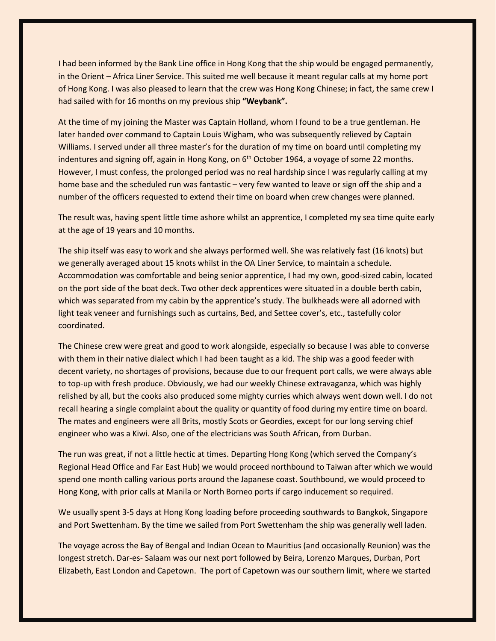I had been informed by the Bank Line office in Hong Kong that the ship would be engaged permanently, in the Orient – Africa Liner Service. This suited me well because it meant regular calls at my home port of Hong Kong. I was also pleased to learn that the crew was Hong Kong Chinese; in fact, the same crew I had sailed with for 16 months on my previous ship **"Weybank".**

At the time of my joining the Master was Captain Holland, whom I found to be a true gentleman. He later handed over command to Captain Louis Wigham, who was subsequently relieved by Captain Williams. I served under all three master's for the duration of my time on board until completing my indentures and signing off, again in Hong Kong, on  $6<sup>th</sup>$  October 1964, a voyage of some 22 months. However, I must confess, the prolonged period was no real hardship since I was regularly calling at my home base and the scheduled run was fantastic – very few wanted to leave or sign off the ship and a number of the officers requested to extend their time on board when crew changes were planned.

The result was, having spent little time ashore whilst an apprentice, I completed my sea time quite early at the age of 19 years and 10 months.

The ship itself was easy to work and she always performed well. She was relatively fast (16 knots) but we generally averaged about 15 knots whilst in the OA Liner Service, to maintain a schedule. Accommodation was comfortable and being senior apprentice, I had my own, good-sized cabin, located on the port side of the boat deck. Two other deck apprentices were situated in a double berth cabin, which was separated from my cabin by the apprentice's study. The bulkheads were all adorned with light teak veneer and furnishings such as curtains, Bed, and Settee cover's, etc., tastefully color coordinated.

The Chinese crew were great and good to work alongside, especially so because I was able to converse with them in their native dialect which I had been taught as a kid. The ship was a good feeder with decent variety, no shortages of provisions, because due to our frequent port calls, we were always able to top-up with fresh produce. Obviously, we had our weekly Chinese extravaganza, which was highly relished by all, but the cooks also produced some mighty curries which always went down well. I do not recall hearing a single complaint about the quality or quantity of food during my entire time on board. The mates and engineers were all Brits, mostly Scots or Geordies, except for our long serving chief engineer who was a Kiwi. Also, one of the electricians was South African, from Durban.

The run was great, if not a little hectic at times. Departing Hong Kong (which served the Company's Regional Head Office and Far East Hub) we would proceed northbound to Taiwan after which we would spend one month calling various ports around the Japanese coast. Southbound, we would proceed to Hong Kong, with prior calls at Manila or North Borneo ports if cargo inducement so required.

We usually spent 3-5 days at Hong Kong loading before proceeding southwards to Bangkok, Singapore and Port Swettenham. By the time we sailed from Port Swettenham the ship was generally well laden.

The voyage across the Bay of Bengal and Indian Ocean to Mauritius (and occasionally Reunion) was the longest stretch. Dar-es- Salaam was our next port followed by Beira, Lorenzo Marques, Durban, Port Elizabeth, East London and Capetown. The port of Capetown was our southern limit, where we started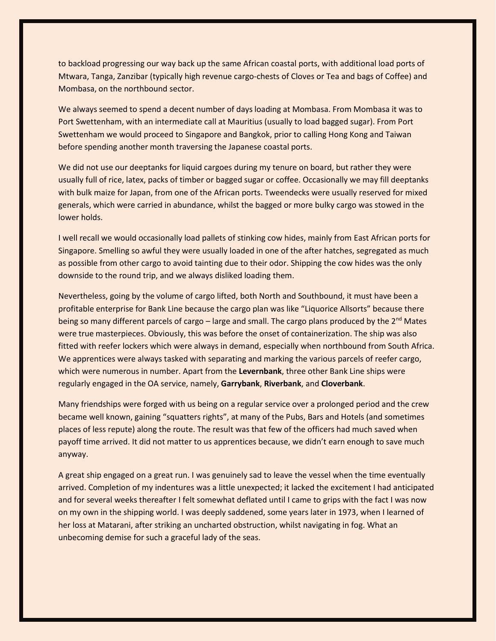to backload progressing our way back up the same African coastal ports, with additional load ports of Mtwara, Tanga, Zanzibar (typically high revenue cargo-chests of Cloves or Tea and bags of Coffee) and Mombasa, on the northbound sector.

We always seemed to spend a decent number of days loading at Mombasa. From Mombasa it was to Port Swettenham, with an intermediate call at Mauritius (usually to load bagged sugar). From Port Swettenham we would proceed to Singapore and Bangkok, prior to calling Hong Kong and Taiwan before spending another month traversing the Japanese coastal ports.

We did not use our deeptanks for liquid cargoes during my tenure on board, but rather they were usually full of rice, latex, packs of timber or bagged sugar or coffee. Occasionally we may fill deeptanks with bulk maize for Japan, from one of the African ports. Tweendecks were usually reserved for mixed generals, which were carried in abundance, whilst the bagged or more bulky cargo was stowed in the lower holds.

I well recall we would occasionally load pallets of stinking cow hides, mainly from East African ports for Singapore. Smelling so awful they were usually loaded in one of the after hatches, segregated as much as possible from other cargo to avoid tainting due to their odor. Shipping the cow hides was the only downside to the round trip, and we always disliked loading them.

Nevertheless, going by the volume of cargo lifted, both North and Southbound, it must have been a profitable enterprise for Bank Line because the cargo plan was like "Liquorice Allsorts" because there being so many different parcels of cargo – large and small. The cargo plans produced by the  $2^{nd}$  Mates were true masterpieces. Obviously, this was before the onset of containerization. The ship was also fitted with reefer lockers which were always in demand, especially when northbound from South Africa. We apprentices were always tasked with separating and marking the various parcels of reefer cargo, which were numerous in number. Apart from the **Levernbank**, three other Bank Line ships were regularly engaged in the OA service, namely, **Garrybank**, **Riverbank**, and **Cloverbank**.

Many friendships were forged with us being on a regular service over a prolonged period and the crew became well known, gaining "squatters rights", at many of the Pubs, Bars and Hotels (and sometimes places of less repute) along the route. The result was that few of the officers had much saved when payoff time arrived. It did not matter to us apprentices because, we didn't earn enough to save much anyway.

A great ship engaged on a great run. I was genuinely sad to leave the vessel when the time eventually arrived. Completion of my indentures was a little unexpected; it lacked the excitement I had anticipated and for several weeks thereafter I felt somewhat deflated until I came to grips with the fact I was now on my own in the shipping world. I was deeply saddened, some years later in 1973, when I learned of her loss at Matarani, after striking an uncharted obstruction, whilst navigating in fog. What an unbecoming demise for such a graceful lady of the seas.